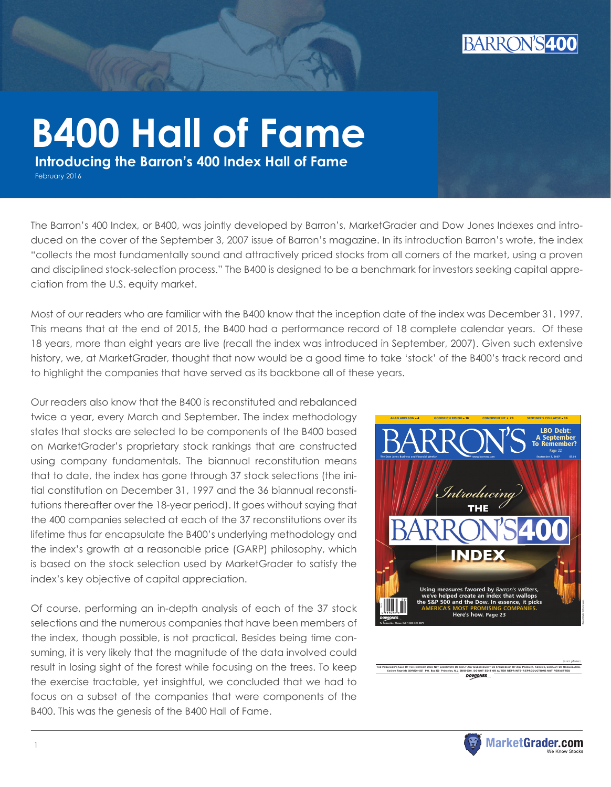

# **B400 Hall of Fame**

 **Introducing the Barron's 400 Index Hall of Fame**

February 2016

The Barron's 400 Index, or B400, was jointly developed by Barron's, MarketGrader and Dow Jones Indexes and introduced on the cover of the September 3, 2007 issue of Barron's magazine. In its introduction Barron's wrote, the index "collects the most fundamentally sound and attractively priced stocks from all corners of the market, using a proven and disciplined stock-selection process." The B400 is designed to be a benchmark for investors seeking capital appreciation from the U.S. equity market.

Most of our readers who are familiar with the B400 know that the inception date of the index was December 31, 1997. This means that at the end of 2015, the B400 had a performance record of 18 complete calendar years. Of these 18 years, more than eight years are live (recall the index was introduced in September, 2007). Given such extensive history, we, at MarketGrader, thought that now would be a good time to take 'stock' of the B400's track record and to highlight the companies that have served as its backbone all of these years.

Our readers also know that the B400 is reconstituted and rebalanced twice a year, every March and September. The index methodology states that stocks are selected to be components of the B400 based on MarketGrader's proprietary stock rankings that are constructed using company fundamentals. The biannual reconstitution means that to date, the index has gone through 37 stock selections (the initial constitution on December 31, 1997 and the 36 biannual reconstitutions thereafter over the 18-year period). It goes without saying that the 400 companies selected at each of the 37 reconstitutions over its lifetime thus far encapsulate the B400's underlying methodology and the index's growth at a reasonable price (GARP) philosophy, which is based on the stock selection used by MarketGrader to satisfy the index's key objective of capital appreciation.

Of course, performing an in-depth analysis of each of the 37 stock selections and the numerous companies that have been members of the index, though possible, is not practical. Besides being time consuming, it is very likely that the magnitude of the data involved could result in losing sight of the forest while focusing on the trees. To keep the exercise tractable, yet insightful, we concluded that we had to focus on a subset of the companies that were components of the B400. This was the genesis of the B400 Hall of Fame.



THE PUBLISHER'S SALE OF THIS REPRINT DOES NOT CONSTITUTE OR IMPLY ANY ENDORSEMENT OR SPONSORSHIP OF ANY PRODUCT, SERVICE, COMPANY OR ORGANIZATION. Custom Reprints (609)520-4331 P.O. Box 300 Princeton, N.J. 08543-0300. DO NOT EDIT OR ALTER REPRINTS ● REPRODUCTIONS NOT PERMITTED

**DOWJONES** 



(over please)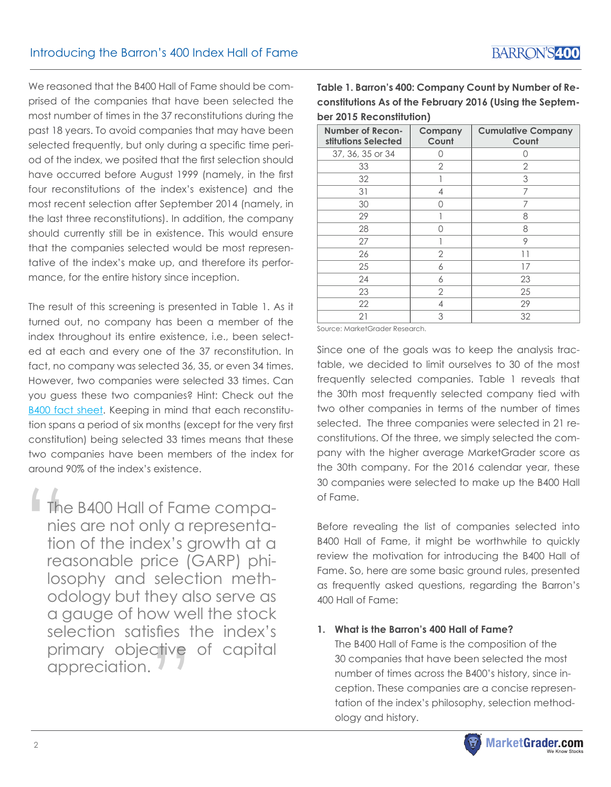We reasoned that the B400 Hall of Fame should be comprised of the companies that have been selected the most number of times in the 37 reconstitutions during the past 18 years. To avoid companies that may have been selected frequently, but only during a specific time period of the index, we posited that the first selection should have occurred before August 1999 (namely, in the first four reconstitutions of the index's existence) and the most recent selection after September 2014 (namely, in the last three reconstitutions). In addition, the company should currently still be in existence. This would ensure that the companies selected would be most representative of the index's make up, and therefore its performance, for the entire history since inception.

The result of this screening is presented in Table 1. As it turned out, no company has been a member of the index throughout its entire existence, i.e., been selected at each and every one of the 37 reconstitution. In fact, no company was selected 36, 35, or even 34 times. However, two companies were selected 33 times. Can you guess these two companies? Hint: Check out the [B400 fact sheet.](http://global.marketgrader.com/resources/pdf/B400_Factsheet_11172015.pdf) Keeping in mind that each reconstitution spans a period of six months (except for the very first constitution) being selected 33 times means that these two companies have been members of the index for around 90% of the index's existence.

The B400 Hall of Fame companies are not only a representation of the index's growth at a reasonable price (GARP) philosophy and selection methodology but they also serve as a gauge of how well the stock selection satisfies the index's primary objective of capital<br>appreciation.<br>——————————————————— appreciation.  $\frac{1}{\pi}$  The nie tion rec

**Table 1. Barron's 400: Company Count by Number of Reconstitutions As of the February 2016 (Using the September 2015 Reconstitution)**

| Number of Recon-<br>stitutions Selected | Company<br>Count | <b>Cumulative Company</b><br>Count |  |  |  |
|-----------------------------------------|------------------|------------------------------------|--|--|--|
| 37, 36, 35 or 34                        | Ω                | Ω                                  |  |  |  |
| 33                                      | $\overline{2}$   | 2                                  |  |  |  |
| 32                                      |                  | 3<br>7                             |  |  |  |
| 31                                      | 4                |                                    |  |  |  |
| 30                                      | Λ                | 7                                  |  |  |  |
| 29                                      |                  | 8                                  |  |  |  |
| 28                                      | O                | 8                                  |  |  |  |
| 27                                      |                  | 9<br>11<br>17                      |  |  |  |
| 26                                      | $\overline{2}$   |                                    |  |  |  |
| 25                                      | 6                |                                    |  |  |  |
| 24                                      | 6                | 23                                 |  |  |  |
| 23                                      | $\overline{2}$   | 25                                 |  |  |  |
| 22                                      | 4                | 29                                 |  |  |  |
| 21                                      | 3                | 32                                 |  |  |  |

Source: MarketGrader Research.

Since one of the goals was to keep the analysis tractable, we decided to limit ourselves to 30 of the most frequently selected companies. Table 1 reveals that the 30th most frequently selected company tied with two other companies in terms of the number of times selected. The three companies were selected in 21 reconstitutions. Of the three, we simply selected the company with the higher average MarketGrader score as the 30th company. For the 2016 calendar year, these 30 companies were selected to make up the B400 Hall of Fame.

Before revealing the list of companies selected into B400 Hall of Fame, it might be worthwhile to quickly review the motivation for introducing the B400 Hall of Fame. So, here are some basic ground rules, presented as frequently asked questions, regarding the Barron's 400 Hall of Fame:

**1. What is the Barron's 400 Hall of Fame?**

The B400 Hall of Fame is the composition of the 30 companies that have been selected the most number of times across the B400's history, since inception. These companies are a concise representation of the index's philosophy, selection methodology and history.

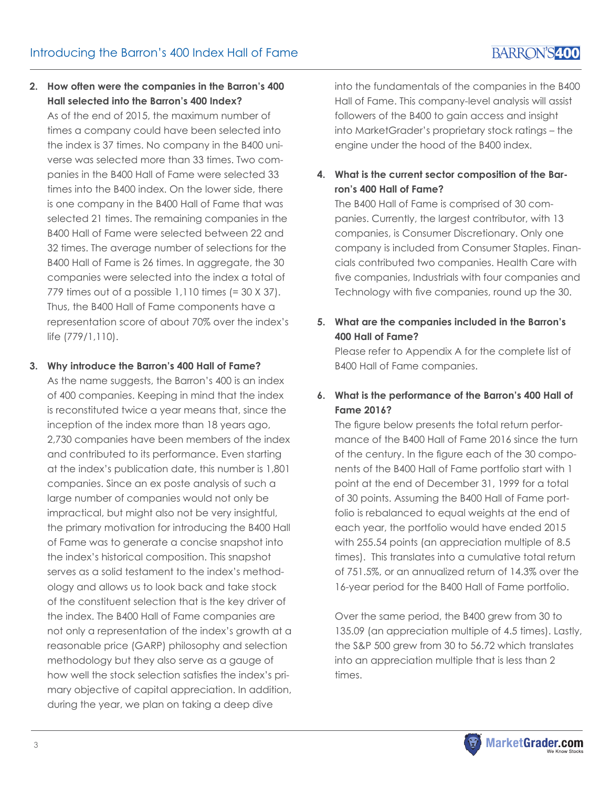## **2. How often were the companies in the Barron's 400 Hall selected into the Barron's 400 Index?**

As of the end of 2015, the maximum number of times a company could have been selected into the index is 37 times. No company in the B400 universe was selected more than 33 times. Two companies in the B400 Hall of Fame were selected 33 times into the B400 index. On the lower side, there is one company in the B400 Hall of Fame that was selected 21 times. The remaining companies in the B400 Hall of Fame were selected between 22 and 32 times. The average number of selections for the B400 Hall of Fame is 26 times. In aggregate, the 30 companies were selected into the index a total of 779 times out of a possible 1,110 times (= 30 X 37). Thus, the B400 Hall of Fame components have a representation score of about 70% over the index's life (779/1,110).

## **3. Why introduce the Barron's 400 Hall of Fame?**

As the name suggests, the Barron's 400 is an index of 400 companies. Keeping in mind that the index is reconstituted twice a year means that, since the inception of the index more than 18 years ago, 2,730 companies have been members of the index and contributed to its performance. Even starting at the index's publication date, this number is 1,801 companies. Since an ex poste analysis of such a large number of companies would not only be impractical, but might also not be very insightful, the primary motivation for introducing the B400 Hall of Fame was to generate a concise snapshot into the index's historical composition. This snapshot serves as a solid testament to the index's methodology and allows us to look back and take stock of the constituent selection that is the key driver of the index. The B400 Hall of Fame companies are not only a representation of the index's growth at a reasonable price (GARP) philosophy and selection methodology but they also serve as a gauge of how well the stock selection satisfies the index's primary objective of capital appreciation. In addition, during the year, we plan on taking a deep dive

into the fundamentals of the companies in the B400 Hall of Fame. This company-level analysis will assist followers of the B400 to gain access and insight into MarketGrader's proprietary stock ratings – the engine under the hood of the B400 index.

## **4. What is the current sector composition of the Barron's 400 Hall of Fame?**

The B400 Hall of Fame is comprised of 30 companies. Currently, the largest contributor, with 13 companies, is Consumer Discretionary. Only one company is included from Consumer Staples. Financials contributed two companies. Health Care with five companies, Industrials with four companies and Technology with five companies, round up the 30.

## **5. What are the companies included in the Barron's 400 Hall of Fame?**

Please refer to Appendix A for the complete list of B400 Hall of Fame companies.

## **6. What is the performance of the Barron's 400 Hall of Fame 2016?**

The figure below presents the total return performance of the B400 Hall of Fame 2016 since the turn of the century. In the figure each of the 30 components of the B400 Hall of Fame portfolio start with 1 point at the end of December 31, 1999 for a total of 30 points. Assuming the B400 Hall of Fame portfolio is rebalanced to equal weights at the end of each year, the portfolio would have ended 2015 with 255.54 points (an appreciation multiple of 8.5 times). This translates into a cumulative total return of 751.5%, or an annualized return of 14.3% over the 16-year period for the B400 Hall of Fame portfolio.

Over the same period, the B400 grew from 30 to 135.09 (an appreciation multiple of 4.5 times). Lastly, the S&P 500 grew from 30 to 56.72 which translates into an appreciation multiple that is less than 2 times.

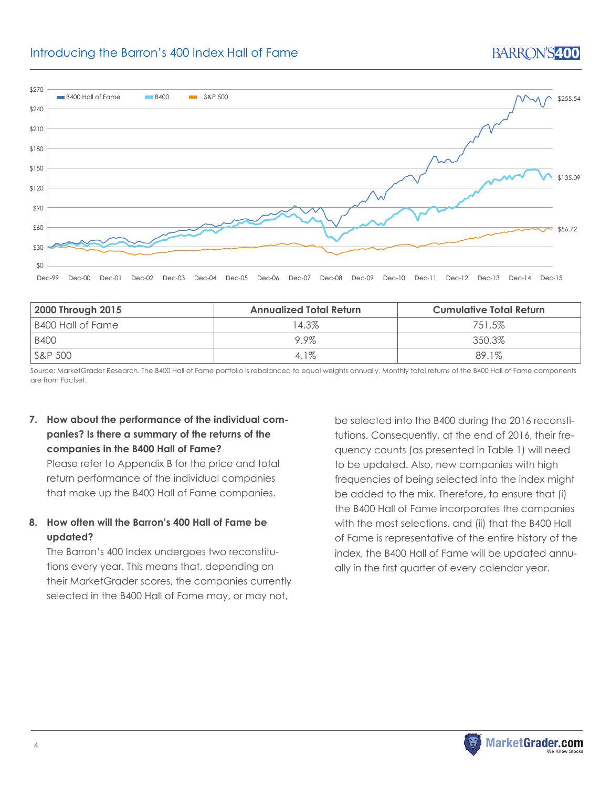#### Introducing the Barron's 400 Index Hall of Fame  $\overline{O}$



| 2000 Through 2015 | <b>Annualized Total Return</b> | Cumulative Total Return |  |  |  |
|-------------------|--------------------------------|-------------------------|--|--|--|
| B400 Hall of Fame | 14.3%                          | 751.5%                  |  |  |  |
| <b>B400</b>       | $9.9\%$                        | $350.3\%$               |  |  |  |
| S&P 500           | $4.1\%$                        | 89.1%                   |  |  |  |

Source: MarketGrader Research. The B400 Hall of Fame portfolio is rebalanced to equal weights annually. Monthly total returns of the B400 Hall of Fame components are from Factset.

## **7. How about the performance of the individual companies? Is there a summary of the returns of the companies in the B400 Hall of Fame?**

Please refer to Appendix B for the price and total return performance of the individual companies that make up the B400 Hall of Fame companies.

## **8. How often will the Barron's 400 Hall of Fame be updated?**

The Barron's 400 Index undergoes two reconstitutions every year. This means that, depending on their MarketGrader scores, the companies currently selected in the B400 Hall of Fame may, or may not,

be selected into the B400 during the 2016 reconstitutions. Consequently, at the end of 2016, their frequency counts (as presented in Table 1) will need to be updated. Also, new companies with high frequencies of being selected into the index might be added to the mix. Therefore, to ensure that (i) the B400 Hall of Fame incorporates the companies with the most selections, and (ii) that the B400 Hall of Fame is representative of the entire history of the index, the B400 Hall of Fame will be updated annually in the first quarter of every calendar year.

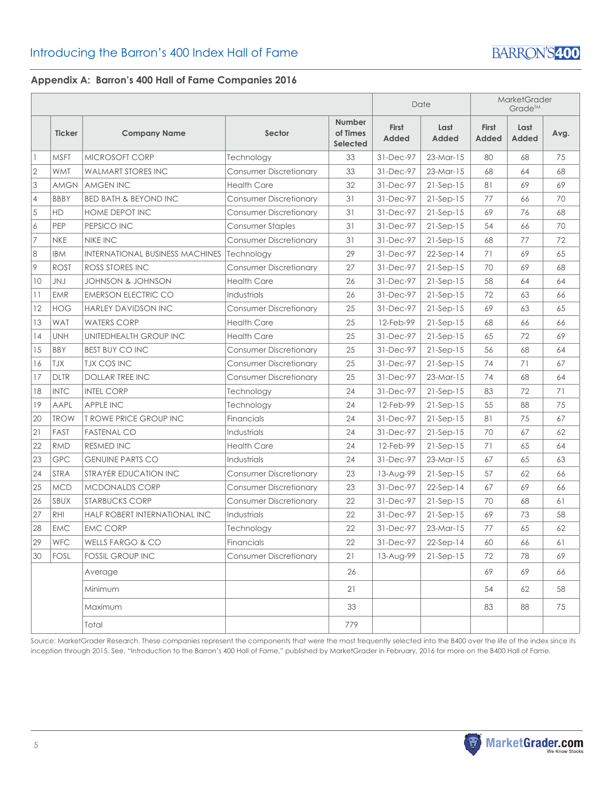## **Appendix A: Barron's 400 Hall of Fame Companies 2016**

|                |               |                                        |                               |                                              |                       | Date          | <b>MarketGrader</b><br>Grade™ |                      |      |
|----------------|---------------|----------------------------------------|-------------------------------|----------------------------------------------|-----------------------|---------------|-------------------------------|----------------------|------|
|                | <b>Ticker</b> | <b>Company Name</b>                    | Sector                        | <b>Number</b><br>of Times<br><b>Selected</b> | <b>First</b><br>Added | Last<br>Added | <b>First</b><br>Added         | Last<br><b>Added</b> | Avg. |
|                | <b>MSFT</b>   | <b>MICROSOFT CORP</b>                  | Technology                    | 33                                           | 31-Dec-97             | $23-Mar-15$   | 80                            | 68                   | 75   |
| $\sqrt{2}$     | <b>WMT</b>    | <b>WALMART STORES INC</b>              | <b>Consumer Discretionary</b> | 33                                           | 31-Dec-97             | $23-Mar-15$   | 68                            | 64                   | 68   |
| 3              | <b>AMGN</b>   | <b>AMGEN INC</b>                       | <b>Health Care</b>            | 32                                           | 31-Dec-97             | $21-Sep-15$   | 81                            | 69                   | 69   |
| $\overline{4}$ | <b>BBBY</b>   | <b>BED BATH &amp; BEYOND INC</b>       | <b>Consumer Discretionary</b> | 31                                           | 31-Dec-97             | $21-Sep-15$   | 77                            | 66                   | 70   |
| $\sqrt{5}$     | HD            | HOME DEPOT INC                         | <b>Consumer Discretionary</b> | 31                                           | 31-Dec-97             | $21-Sep-15$   | 69                            | 76                   | 68   |
| 6              | PEP           | PEPSICO INC                            | Consumer Staples              | 31                                           | 31-Dec-97             | $21-Sep-15$   | 54                            | 66                   | 70   |
| $\overline{7}$ | <b>NKE</b>    | <b>NIKE INC</b>                        | <b>Consumer Discretionary</b> | 31                                           | 31-Dec-97             | $21-Sep-15$   | 68                            | 77                   | 72   |
| 8              | <b>IBM</b>    | <b>INTERNATIONAL BUSINESS MACHINES</b> | Technology                    | 29                                           | 31-Dec-97             | $22-Sep-14$   | 71                            | 69                   | 65   |
| 9              | <b>ROST</b>   | <b>ROSS STORES INC</b>                 | <b>Consumer Discretionary</b> | 27                                           | 31-Dec-97             | $21-Sep-15$   | 70                            | 69                   | 68   |
| 10             | JNJ           | JOHNSON & JOHNSON                      | <b>Health Care</b>            | 26                                           | 31-Dec-97             | $21-Sep-15$   | 58                            | 64                   | 64   |
| 11             | <b>EMR</b>    | <b>EMERSON ELECTRIC CO</b>             | Industrials                   | 26                                           | 31-Dec-97             | $21-Sep-15$   | 72                            | 63                   | 66   |
| 12             | <b>HOG</b>    | <b>HARLEY DAVIDSON INC</b>             | <b>Consumer Discretionary</b> | 25                                           | 31-Dec-97             | $21-Sep-15$   | 69                            | 63                   | 65   |
| 13             | <b>WAT</b>    | <b>WATERS CORP</b>                     | <b>Health Care</b>            | 25                                           | 12-Feb-99             | $21-Sep-15$   | 68                            | 66                   | 66   |
| 14             | <b>UNH</b>    | UNITEDHEALTH GROUP INC                 | <b>Health Care</b>            | 25                                           | 31-Dec-97             | $21-Sep-15$   | 65                            | 72                   | 69   |
| 15             | <b>BBY</b>    | <b>BEST BUY CO INC</b>                 | <b>Consumer Discretionary</b> | 25                                           | 31-Dec-97             | $21-Sep-15$   | 56                            | 68                   | 64   |
| 16             | TJX           | <b>TJX COS INC</b>                     | <b>Consumer Discretionary</b> | 25                                           | 31-Dec-97             | $21-Sep-15$   | 74                            | 71                   | 67   |
| 17             | <b>DLTR</b>   | <b>DOLLAR TREE INC.</b>                | <b>Consumer Discretionary</b> | 25                                           | 31-Dec-97             | $23-Mar-15$   | 74                            | 68                   | 64   |
| 18             | <b>INTC</b>   | <b>INTEL CORP</b>                      | Technology                    | 24                                           | 31-Dec-97             | $21-Sep-15$   | 83                            | 72                   | 71   |
| 19             | AAPL          | <b>APPLE INC</b>                       | Technology                    | 24                                           | 12-Feb-99             | $21-Sep-15$   | 55                            | 88                   | 75   |
| 20             | <b>TROW</b>   | <b>T ROWE PRICE GROUP INC</b>          | Financials                    | 24                                           | 31-Dec-97             | $21-Sep-15$   | 81                            | 75                   | 67   |
| 21             | FAST          | <b>FASTENAL CO</b>                     | Industrials                   | 24                                           | 31-Dec-97             | $21-Sep-15$   | 70                            | 67                   | 62   |
| 22             | <b>RMD</b>    | <b>RESMED INC</b>                      | <b>Health Care</b>            | 24                                           | 12-Feb-99             | $21-Sep-15$   | 71                            | 65                   | 64   |
| 23             | GPC           | <b>GENUINE PARTS CO</b>                | Industrials                   | 24                                           | 31-Dec-97             | $23-Mar-15$   | 67                            | 65                   | 63   |
| 24             | <b>STRA</b>   | STRAYER EDUCATION INC                  | <b>Consumer Discretionary</b> | 23                                           | 13-Aug-99             | $21-Sep-15$   | 57                            | 62                   | 66   |
| 25             | <b>MCD</b>    | <b>MCDONALDS CORP</b>                  | <b>Consumer Discretionary</b> | 23                                           | 31-Dec-97             | $22-Sep-14$   | 67                            | 69                   | 66   |
| 26             | SBUX          | <b>STARBUCKS CORP</b>                  | <b>Consumer Discretionary</b> | 22                                           | 31-Dec-97             | $21-Sep-15$   | 70                            | 68                   | 61   |
| 27             | RHI           | HALF ROBERT INTERNATIONAL INC          | <b>Industrials</b>            | 22                                           | 31-Dec-97             | $21-Sep-15$   | 69                            | 73                   | 58   |
| 28             | EMC           | <b>EMC CORP</b>                        | Technology                    | 22                                           | 31-Dec-97             | $23-Mar-15$   | 77                            | 65                   | 62   |
| 29             | WFC           | WELLS FARGO & CO                       | Financials                    | 22                                           | 31-Dec-97             | $22-Sep-14$   | 60                            | 66                   | 61   |
| 30             | FOSL          | <b>FOSSIL GROUP INC</b>                | <b>Consumer Discretionary</b> | 21                                           | 13-Aug-99             | $21-Sep-15$   | 72                            | 78                   | 69   |
|                |               | Average                                |                               | 26                                           |                       |               | 69                            | 69                   | 66   |
|                |               | Minimum                                |                               | 21                                           |                       |               | 54                            | 62                   | 58   |
|                |               | Maximum                                |                               | 33                                           |                       |               | 83                            | 88                   | 75   |
|                |               | Total                                  |                               | 779                                          |                       |               |                               |                      |      |

Source: MarketGrader Research. These companies represent the components that were the most frequently selected into the B400 over the life of the index since its inception through 2015. See, "Introduction to the Barron's 400 Hall of Fame," published by MarketGrader in February, 2016 for more on the B400 Hall of Fame.